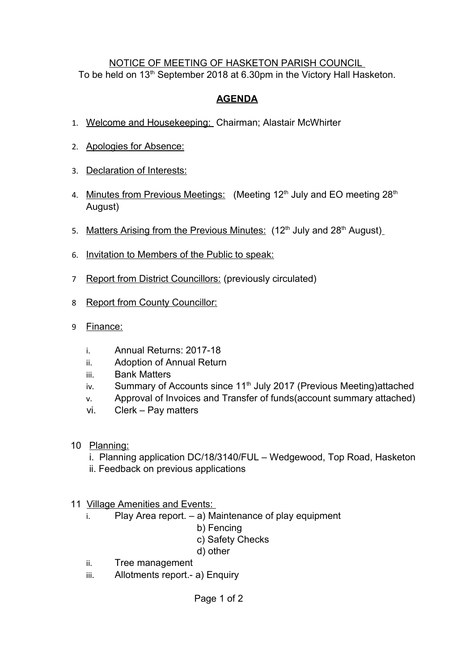## NOTICE OF MEETING OF HASKETON PARISH COUNCIL To be held on 13<sup>th</sup> September 2018 at 6.30pm in the Victory Hall Hasketon.

## **AGENDA**

- 1. Welcome and Housekeeping: Chairman; Alastair McWhirter
- 2. Apologies for Absence:
- 3. Declaration of Interests:
- 4. Minutes from Previous Meetings: (Meeting 12<sup>th</sup> July and EO meeting 28<sup>th</sup> August)
- 5. Matters Arising from the Previous Minutes:  $(12<sup>th</sup>$  July and  $28<sup>th</sup>$  August)
- 6. Invitation to Members of the Public to speak:
- 7 Report from District Councillors: (previously circulated)
- 8 Report from County Councillor:
- 9 Finance:
	- i. Annual Returns: 2017-18
	- ii. Adoption of Annual Return
	- iii. Bank Matters
	- iv. Summary of Accounts since  $11<sup>th</sup>$  July 2017 (Previous Meeting)attached
	- v. Approval of Invoices and Transfer of funds(account summary attached)
	- vi. Clerk Pay matters
- 10 Planning:
	- i. Planning application DC/18/3140/FUL Wedgewood, Top Road, Hasketon
	- ii. Feedback on previous applications
- 11 Village Amenities and Events:
	- $i.$  Play Area report.  $-$  a) Maintenance of play equipment
		- b) Fencing
			- c) Safety Checks
			- d) other
	- ii. Tree management
	- iii. Allotments report .- a) Enquiry